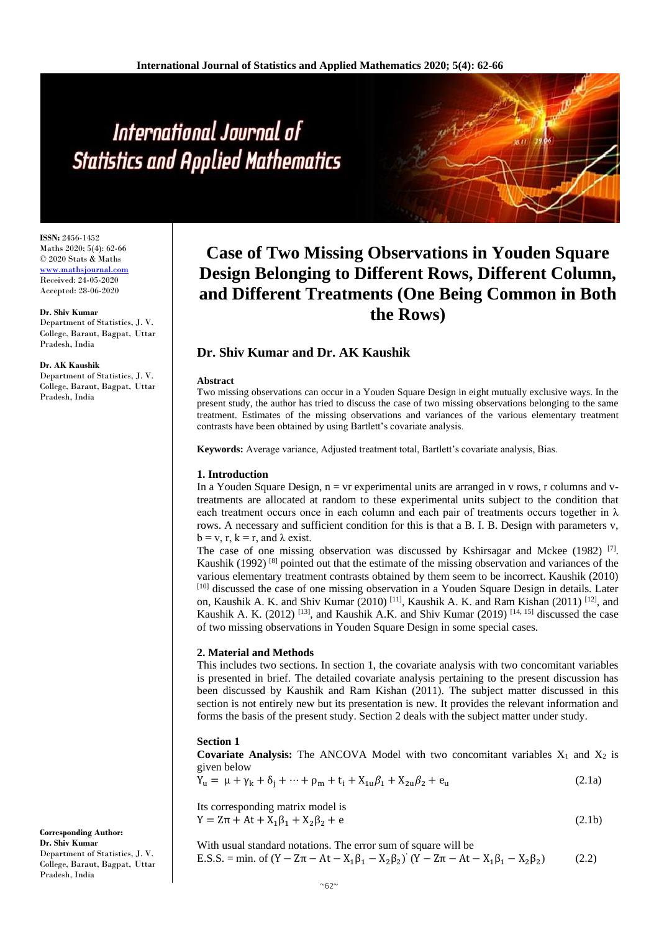# International Journal of **Statistics and Applied Mathematics**

**ISSN:** 2456-1452 Maths 2020; 5(4): 62-66 © 2020 Stats & Maths <www.mathsjournal.com> Received: 24-05-2020 Accepted: 28-06-2020

# **Dr. Shiv Kumar**

Department of Statistics, J. V. College, Baraut, Bagpat, Uttar Pradesh, India

#### **Dr. AK Kaushik**

Department of Statistics, J. V. College, Baraut, Bagpat, Uttar Pradesh, India

# **Case of Two Missing Observations in Youden Square Design Belonging to Different Rows, Different Column, and Different Treatments (One Being Common in Both the Rows)**

# **Dr. Shiv Kumar and Dr. AK Kaushik**

#### **Abstract**

Two missing observations can occur in a Youden Square Design in eight mutually exclusive ways. In the present study, the author has tried to discuss the case of two missing observations belonging to the same treatment. Estimates of the missing observations and variances of the various elementary treatment contrasts have been obtained by using Bartlett's covariate analysis.

**Keywords:** Average variance, Adjusted treatment total, Bartlett's covariate analysis, Bias.

# **1. Introduction**

In a Youden Square Design,  $n = v r$  experimental units are arranged in v rows, r columns and vtreatments are allocated at random to these experimental units subject to the condition that each treatment occurs once in each column and each pair of treatments occurs together in  $\lambda$ rows. A necessary and sufficient condition for this is that a B. I. B. Design with parameters v,  $b = v, r, k = r$ , and  $\lambda$  exist.

The case of one missing observation was discussed by Kshirsagar and Mckee (1982)<sup>[7]</sup>. Kaushik (1992)  $[8]$  pointed out that the estimate of the missing observation and variances of the various elementary treatment contrasts obtained by them seem to be incorrect. Kaushik (2010) [10] discussed the case of one missing observation in a Youden Square Design in details. Later on, Kaushik A. K. and Shiv Kumar (2010) <sup>[11]</sup>, Kaushik A. K. and Ram Kishan (2011) <sup>[12]</sup>, and Kaushik A. K. (2012)<sup>[13]</sup>, and Kaushik A.K. and Shiv Kumar (2019)<sup>[14, 15]</sup> discussed the case of two missing observations in Youden Square Design in some special cases.

### **2. Material and Methods**

This includes two sections. In section 1, the covariate analysis with two concomitant variables is presented in brief. The detailed covariate analysis pertaining to the present discussion has been discussed by Kaushik and Ram Kishan (2011). The subject matter discussed in this section is not entirely new but its presentation is new. It provides the relevant information and forms the basis of the present study. Section 2 deals with the subject matter under study.

# **Section 1**

**Covariate Analysis:** The ANCOVA Model with two concomitant variables  $X_1$  and  $X_2$  is given below

$$
Y_{u} = \mu + \gamma_{k} + \delta_{j} + \dots + \rho_{m} + t_{i} + X_{1u}\beta_{1} + X_{2u}\beta_{2} + e_{u}
$$
\n(2.1a)

Its corresponding matrix model is  $Y = Z\pi + At + X_1\beta_1 + X_2\beta_2 + e$  (2.1b)

With usual standard notations. The error sum of square will be E.S.S. = min. of (Y − Zπ − At − X<sub>1</sub>β<sub>1</sub> − X<sub>2</sub>β<sub>2</sub>)<sup>'</sup> (Y − Zπ − At − X<sub>1</sub>β<sub>1</sub> − X<sub>2</sub>β<sub>2</sub>  $(2.2)$ 

**Corresponding Author: Dr. Shiv Kumar** Department of Statistics, J. V. College, Baraut, Bagpat, Uttar Pradesh, India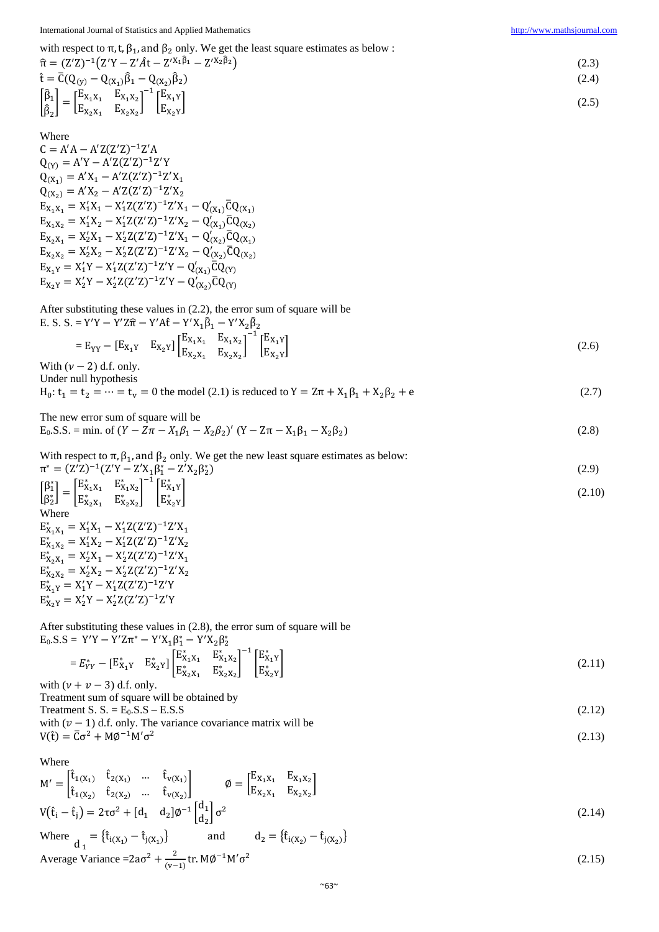(2.13)

with respect to  $\pi$ , t,  $\beta_1$ , and  $\beta_2$  only. We get the least square estimates as below :

$$
\hat{\pi} = (Z'Z)^{-1}(Z'Y - Z'\hat{A}t - Z'^{X_1\hat{\beta}_1} - Z'^{X_2\hat{\beta}_2})
$$
\n
$$
\hat{t} = \overline{C}(Q_{(y)} - Q_{(X_1)}\hat{\beta}_1 - Q_{(X_2)}\hat{\beta}_2)
$$
\n
$$
\begin{bmatrix} \hat{\beta}_1 \\ \hat{\beta}_2 \end{bmatrix} = \begin{bmatrix} E_{X_1X_1} & E_{X_1X_2} \\ E_{X_2X_1} & E_{X_2X_2} \end{bmatrix}^{-1} \begin{bmatrix} E_{X_1Y} \\ E_{X_2Y} \end{bmatrix}
$$
\n
$$
(2.5)
$$

Where

 $C = A'A - A'Z(Z'Z)^{-1}Z'A$  $Q_{(Y)} = A'Y - A'Z(Z'Z)^{-1}Z'Y$  $Q_{(X_1)} = A'X_1 - A'Z(Z'Z)^{-1}Z'X_1$  $Q_{(X_2)} = A'X_2 - A'Z(Z'Z)^{-1}Z'X_2$  $E_{X_1X_1} = X_1'X_1 - X_1'Z(Z'Z)^{-1}Z'X_1 - Q'_{(X_1)}\overline{C}Q_{(X_1)}$  $E_{X_1X_2} = X_1'X_2 - X_1'Z(Z'Z)^{-1}Z'X_2 - Q'_{(X_1)}\overline{C}Q_{(X_2)}$  $E_{X_2X_1} = X_2'X_1 - X_2'Z(Z'Z)^{-1}Z'X_1 - Q'_{(X_2)}\overline{C}Q_{(X_1)}$  $E_{X_2X_2} = X_2'X_2 - X_2'Z(Z'Z)^{-1}Z'X_2 - Q'_{(X_2)}\overline{C}Q_{(X_2)}$  $E_{X_1Y} = X_1'Y - X_1'Z(Z'Z)^{-1}Z'Y - Q'_{(X_1)}\overline{C}Q_{(Y)}$  $E_{X_2Y} = X_2'Y - X_2'Z(Z'Z)^{-1}Z'Y - Q'_{(X_2)}\overline{C}Q_{(Y)}$ 

After substituting these values in (2.2), the error sum of square will be

E. S. S. = Y'Y – Y'Z
$$
\hat{\pi}
$$
 – Y'A $\hat{t}$  – Y'X<sub>1</sub> $\hat{\beta}_1$  – Y'X<sub>2</sub> $\hat{\beta}_2$   
= E<sub>YY</sub> – [E<sub>X<sub>1</sub>Y</sub> E<sub>X<sub>2</sub>Y]</sub>  $\begin{bmatrix} E_{X_1X_1} & E_{X_1X_2} \\ E_{X_2X_1} & E_{X_2X_2} \end{bmatrix}^{-1} \begin{bmatrix} E_{X_1Y} \\ E_{X_2Y} \end{bmatrix}$  (2.6)

 $(2.8)$ 

With  $(\nu - 2)$  d.f. only. Under null hypothesis

 $H_0: t_1 = t_2 = \dots = t_v = 0$  the model (2.1) is reduced to  $Y = Z\pi + X_1\beta_1 + X_2\beta_2 + e$  (2.7)

The new error sum of square will be  $E_0$ .S.S. = min. of  $(Y - Z\pi - X_1\beta_1 - X_2\beta_2)'$   $(Y - Z\pi - X_1\beta_1 - X_2\beta_2)$ 

With respect to 
$$
\pi
$$
,  $\beta_1$ , and  $\beta_2$  only. We get the new least square estimates as below:  
\n
$$
\pi^* = (Z'Z)^{-1}(Z'Y - Z'X_1\beta_1^* - Z'X_2\beta_2^*)
$$
\n
$$
\beta_1^* = \left[\begin{matrix}E_{X_1X_1}^* & E_{X_1X_2}^* \end{matrix}\right]^{-1} \left[\begin{matrix}E_{X_1X_1}^* & E_{X_1X_2}^* \end{matrix}\right]^{-1} \begin{matrix}E_{X_1X_1}^* & E_{X_1X_2}^* \end{matrix}
$$
\n(2.10)

$$
\begin{bmatrix} P_1 \\ \beta_2^* \end{bmatrix} = \begin{bmatrix} x_{11} & x_{12} \\ E_{X_2X_1}^* & E_{X_2X_2}^* \end{bmatrix} \begin{bmatrix} x_1 \\ E_{X_2Y}^* \end{bmatrix}
$$
\nWhere\n
$$
E_{X_1X_1}^* = X_1'X_1 - X_1'Z(Z'Z)^{-1}Z'X_1
$$
\n
$$
E_{X_1X_2}^* = X_1'X_2 - X_1'Z(Z'Z)^{-1}Z'X_2
$$
\n(2.10)

 $E_{X_2X_1}^* = X_2'X_1 - X_2'Z(Z'Z)^{-1}Z'X_1$  $E_{X_2X_2}^* = X_2'X_2 - X_2'Z(Z'Z)^{-1}Z'X_2$  $E_{X_1Y}^* = X_1'Y - X_1'Z(Z'Z)^{-1}Z'Y$  $E_{X_2Y}^* = X_2'Y - X_2'Z(Z'Z)^{-1}Z'Y$ 

After substituting these values in (2.8), the error sum of square will be  $E_0.S.S = Y'Y - Y'Zπ^* - Y'X_1β_1^* - Y'X_2β_2^*$ 

$$
= E_{YY}^{*} - \begin{bmatrix} E_{X_1Y}^{*} & E_{X_2Y}^{*} \end{bmatrix} \begin{bmatrix} E_{X_1X_1}^{*} & E_{X_1X_2}^{*} \\ E_{X_2X_1}^{*} & E_{X_2X_2}^{*} \end{bmatrix}^{-1} \begin{bmatrix} E_{X_1Y}^{*} \\ E_{X_2Y}^{*} \end{bmatrix}
$$
\n
$$
(2.11)
$$

with  $(\nu + \nu - 3)$  d.f. only. Treatment sum of square will be obtained by

Treatment S. S. =  $E_0$ .S.S –  $E.S.S$  (2.12)

with  $(\nu - 1)$  d.f. only. The variance covariance matrix will be V(t̂) =  $\overline{C} \sigma^2$  + M $\phi^{-1}$ M' $\sigma^2$ 

Where

$$
M' = \begin{bmatrix} \hat{t}_{1}(x_{1}) & \hat{t}_{2}(x_{1}) & \cdots & \hat{t}_{V}(x_{1}) \\ \hat{t}_{1}(x_{2}) & \hat{t}_{2}(x_{2}) & \cdots & \hat{t}_{V}(x_{2}) \end{bmatrix} \qquad \emptyset = \begin{bmatrix} E_{X_{1}X_{1}} & E_{X_{1}X_{2}} \\ E_{X_{2}X_{1}} & E_{X_{2}X_{2}} \end{bmatrix}
$$
  
\n
$$
V(\hat{t}_{i} - \hat{t}_{j}) = 2\tau\sigma^{2} + [d_{1} \quad d_{2}]\phi^{-1} \begin{bmatrix} d_{1} \\ d_{2} \end{bmatrix} \sigma^{2}
$$
\n(2.14)

Where 
$$
\frac{d_1}{d_1} = {\hat{t}_{i(X_1)} - \hat{t}_{j(X_1)}}\
$$
 and  $d_2 = {\hat{t}_{i(X_2)} - \hat{t}_{j(X_2)}}$   
Average Variance =  $2a\sigma^2 + \frac{2}{(v-1)}tr.M\phi^{-1}M'\sigma^2$  (2.15)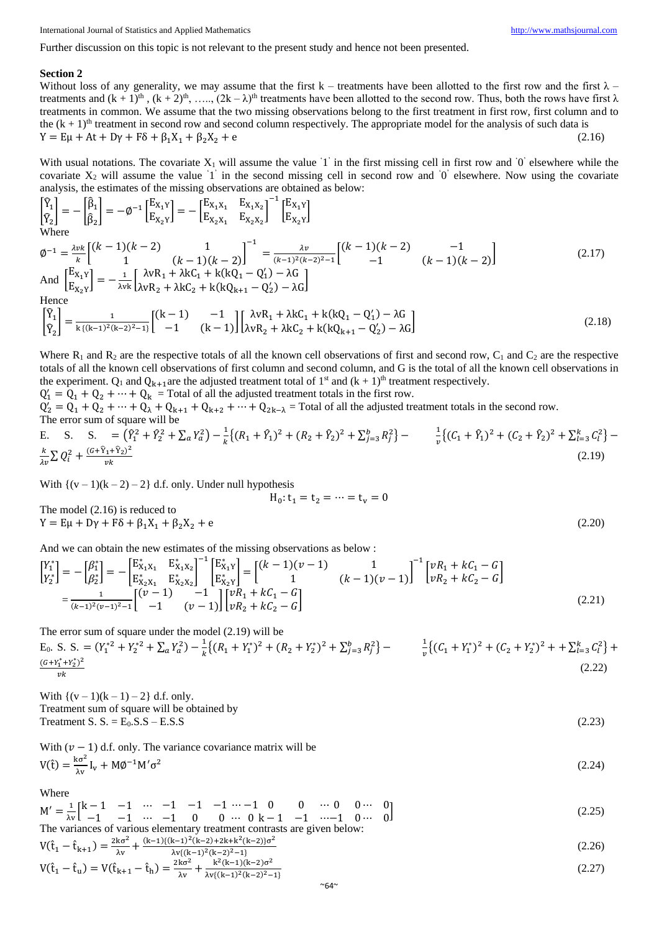Further discussion on this topic is not relevant to the present study and hence not been presented.

#### **Section 2**

Without loss of any generality, we may assume that the first  $k$  – treatments have been allotted to the first row and the first  $\lambda$  – treatments and  $(k + 1)<sup>th</sup>$ ,  $(k + 2)<sup>th</sup>$ , …..,  $(2k - \lambda)<sup>th</sup>$  treatments have been allotted to the second row. Thus, both the rows have first  $\lambda$ treatments in common. We assume that the two missing observations belong to the first treatment in first row, first column and to the  $(k + 1)$ <sup>th</sup> treatment in second row and second column respectively. The appropriate model for the analysis of such data is  $Y = E\mu + At + Dy + F\delta + \beta_1 X_1 + \beta_2 X_2 + e$  (2.16)

With usual notations. The covariate  $X_1$  will assume the value '1' in the first missing cell in first row and '0' elsewhere while the covariate  $X_2$  will assume the value '1' in the second missing cell in second row and '0' elsewhere. Now using the covariate analysis, the estimates of the missing observations are obtained as below:

$$
\begin{bmatrix}\n\hat{Y}_1 \\
\hat{Y}_2\n\end{bmatrix} = -\begin{bmatrix}\n\hat{\beta}_1 \\
\hat{\beta}_2\n\end{bmatrix} = -\phi^{-1} \begin{bmatrix}\nE_{X_1Y} \\
E_{X_2Y}\n\end{bmatrix} = -\begin{bmatrix}\nE_{X_1X_1} & E_{X_1X_2} \\
E_{X_2X_1} & E_{X_2X_2}\n\end{bmatrix}^{-1} \begin{bmatrix}\nE_{X_1Y} \\
E_{X_2Y}\n\end{bmatrix}
$$
\nWhere

\n
$$
\phi^{-1} = \frac{\lambda v k}{k} \begin{bmatrix}\n(k-1)(k-2) & 1 \\
1 & (k-1)(k-2)\n\end{bmatrix}^{-1} = \frac{\lambda v}{(k-1)^2(k-2)^2 - 1} \begin{bmatrix}\n(k-1)(k-2) & -1 \\
-1 & (k-1)(k-2)\n\end{bmatrix}
$$
\nAnd

\n
$$
\begin{bmatrix}\nE_{X_1Y} \\
E_{X_2Y}\n\end{bmatrix} = -\frac{1}{\lambda v k} \begin{bmatrix}\n\lambda v R_1 + \lambda k C_1 + k(kQ_1 - Q_1') - \lambda G \\
\lambda v R_2 + \lambda k C_2 + k(kQ_{k+1} - Q_2') - \lambda G\n\end{bmatrix}
$$
\nHence

\n
$$
\begin{bmatrix}\n\hat{Y}_1\n\end{bmatrix} = -\frac{1}{\lambda v k} \begin{bmatrix}\n(k-1) & -1 \\
1 & k(k-1) \end{bmatrix} \begin{bmatrix}\n\lambda v R_1 + \lambda k C_1 + k(kQ_1 - Q_1') - \lambda G\n\end{bmatrix}
$$
\n(2.19)

$$
\begin{bmatrix} \hat{Y}_1 \\ \hat{Y}_2 \end{bmatrix} = \frac{1}{k\{(k-1)^2(k-2)^2-1\}} \begin{bmatrix} (k-1) & -1 \\ -1 & (k-1) \end{bmatrix} \begin{bmatrix} \lambda vR_1 + \lambda kC_1 + k(kQ_1 - Q_1') - \lambda G \\ \lambda vR_2 + \lambda kC_2 + k(kQ_{k+1} - Q_2') - \lambda G \end{bmatrix}
$$
(2.18)

Where  $R_1$  and  $R_2$  are the respective totals of all the known cell observations of first and second row,  $C_1$  and  $C_2$  are the respective totals of all the known cell observations of first column and second column, and G is the total of all the known cell observations in the experiment.  $Q_1$  and  $Q_{k+1}$ are the adjusted treatment total of 1<sup>st</sup> and  $(k + 1)$ <sup>th</sup> treatment respectively.

 $Q'_1 = Q_1 + Q_2 + \cdots + Q_k$  = Total of all the adjusted treatment totals in the first row.  $Q'_2 = Q_1 + Q_2 + \cdots + Q_{\lambda} + Q_{k+1} + Q_{k+2} + \cdots + Q_{2k-\lambda}$  = Total of all the adjusted treatment totals in the second row. The error sum of square will be

E. S. S. = 
$$
(\hat{Y}_1^2 + \hat{Y}_2^2 + \sum_a Y_a^2) - \frac{1}{k} \{ (R_1 + \hat{Y}_1)^2 + (R_2 + \hat{Y}_2)^2 + \sum_{j=3}^b R_j^2 \} - \frac{1}{v} \{ (C_1 + \hat{Y}_1)^2 + (C_2 + \hat{Y}_2)^2 + \sum_{l=3}^k C_l^2 \} - \frac{k}{v^2} \sum Q_i^2 + \frac{(G + \hat{Y}_1 + \hat{Y}_2)^2}{vk}
$$
 (2.19)

 $H_0: t_1 = t_2 = \cdots = t_v = 0$ 

With  $\{(v-1)(k-2)-2\}$  d.f. only. Under null hypothesis

The model (2.16) is reduced to  $Y = E\mu + D\gamma + F\delta + \beta_1 X_1 + \beta_2 X_2 + e$  (2.20)

And we can obtain the new estimates of the missing observations as below :

$$
\begin{bmatrix} Y_1^* \\ Y_2^* \end{bmatrix} = -\begin{bmatrix} \beta_1^* \\ \beta_2^* \end{bmatrix} = -\begin{bmatrix} E_{X_1X_1}^* & E_{X_1X_2}^* \\ E_{X_2X_1}^* & E_{X_2X_2}^* \end{bmatrix}^{-1} \begin{bmatrix} E_{X_1Y}^* \\ E_{X_2Y}^* \end{bmatrix} = \begin{bmatrix} (k-1)(v-1) & 1 \\ 1 & (k-1)(v-1) \end{bmatrix}^{-1} \begin{bmatrix} vR_1 + kC_1 - G \\ vR_2 + kC_2 - G \end{bmatrix}
$$
\n
$$
= \frac{1}{(k-1)^2(v-1)^2 - 1} \begin{bmatrix} (v-1) & -1 \\ -1 & (v-1) \end{bmatrix} \begin{bmatrix} vR_1 + kC_1 - G \\ vR_2 + kC_2 - G \end{bmatrix} \tag{2.21}
$$

The error sum of square under the model (2.19) will be

E<sub>0</sub>. S. S. = 
$$
(Y_1^{*2} + Y_2^{*2} + \sum_a Y_a^2) - \frac{1}{k} \{ (R_1 + Y_1^{*})^2 + (R_2 + Y_2^{*})^2 + \sum_{j=3}^b R_j^2 \} - \frac{1}{v} \{ (C_1 + Y_1^{*})^2 + (C_2 + Y_2^{*})^2 + \sum_{l=3}^b C_l^2 \} + \frac{(G + Y_1^{*} + Y_2^{*})^2}{vk}
$$
 (2.22)

With  $\{(v-1)(k-1) - 2\}$  d.f. only. Treatment sum of square will be obtained by

The argument S. S. = 
$$
E_0
$$
.S.S – E.S.S (2.23)

With 
$$
(v - 1)
$$
 d.f. only. The variance covariance matrix will be  
\n
$$
V(\hat{t}) = \frac{k\sigma^2}{\lambda v} I_v + M\phi^{-1} M'\sigma^2
$$
\n(2.24)

Where

$$
M' = \frac{1}{\lambda v} \begin{bmatrix} k-1 & -1 & \cdots & -1 & -1 & -1 & \cdots -1 & 0 & 0 & \cdots & 0 & 0 & \cdots & 0 \\ -1 & -1 & -1 & \cdots & -1 & 0 & 0 & \cdots & 0 & k-1 & -1 & \cdots -1 & 0 & \cdots & 0 \end{bmatrix}
$$
 (2.25)

The variances of various elementary treatment contrasts are given below:  
\n
$$
V(\hat{t}_1 - \hat{t}_{k+1}) = \frac{2k\sigma^2}{\lambda v} + \frac{(k-1)\{(k-1)^2(k-2)+2k+k^2(k-2)\}\sigma^2}{\lambda v\{(k-1)^2(k-2)^2-1\}}\tag{2.26}
$$

$$
V(\hat{t}_1 - \hat{t}_u) = V(\hat{t}_{k+1} - \hat{t}_h) = \frac{2k\sigma^2}{\lambda v} + \frac{k^2(k-1)(k-2)\sigma^2}{\lambda v\{(k-1)^2(k-2)^2 - 1\}}
$$
(2.27)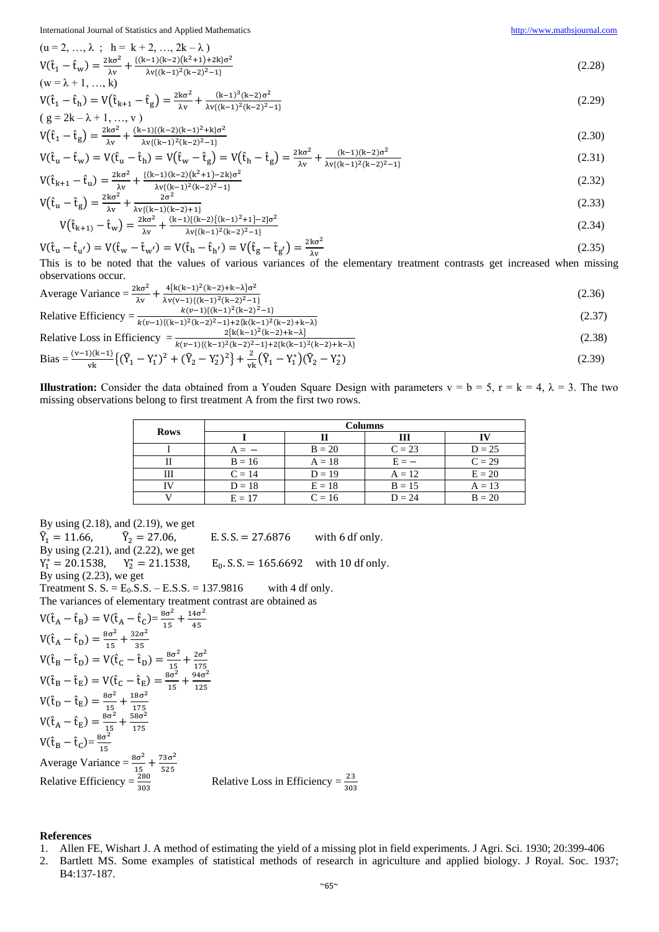International Journal of Statistics and Applied Mathematics [http://www.mathsjournal.com](http://www.mathsjournal.com/)

$$
(u = 2, ..., \lambda; h = k + 2, ..., 2k - \lambda)
$$
  
\n
$$
V(\hat{t}_1 - \hat{t}_w) = \frac{2k\sigma^2}{\lambda v} + \frac{[(k-1)(k-2)(k^2+1)+2k]\sigma^2}{\lambda v\{(k-1)^2(k-2)^2-1\}}
$$
\n
$$
(2.28)
$$

$$
V(\hat{t}_1 - \hat{t}_h) = V(\hat{t}_{k+1} - \hat{t}_g) = \frac{2k\sigma^2}{\lambda v} + \frac{(k-1)^3(k-2)\sigma^2}{\lambda v\{(k-1)^2(k-2)^2 - 1\}}
$$
(2.29)

$$
(g = 2k - \lambda + 1, ..., v)
$$
  

$$
V(\hat{t}_1 - \hat{t}_g) = \frac{2k\sigma^2}{\lambda v} + \frac{(k-1)\{(k-2)(k-1)^2 + k\}\sigma^2}{\lambda v\{(k-1)^2(k-2)^2 - 1\}}
$$
 (2.30)

$$
V(\hat{t}_{u} - \hat{t}_{w}) = V(\hat{t}_{u} - \hat{t}_{h}) = V(\hat{t}_{w} - \hat{t}_{g}) = V(\hat{t}_{h} - \hat{t}_{g}) = \frac{2k\sigma^{2}}{\lambda v} + \frac{(k-1)(k-2)\sigma^{2}}{\lambda v\{(k-1)^{2}(k-2)^{2}-1\}}
$$
(2.31)

$$
V(\hat{t}_{k+1} - \hat{t}_u) = \frac{2k\sigma^2}{\lambda v} + \frac{\{(k-1)(k-2)(k^2+1)-2k\}\sigma^2}{\lambda v\{(k-1)^2(k-2)^2-1\}}
$$
(2.32)

$$
V(\hat{t}_{u} - \hat{t}_{g}) = \frac{2k\sigma^{2}}{\lambda v} + \frac{2\sigma^{2}}{\lambda v\{(k-1)(k-2)+1\}}
$$
(2.33)

$$
V(\hat{t}_{k+1}) - \hat{t}_w = \frac{2k\sigma^2}{\lambda v} + \frac{(k-1)[(k-2)\{(k-1)^2+1\} - 2]\sigma^2}{\lambda v\{(k-1)^2(k-2)^2 - 1\}}
$$
(2.34)

$$
V(\hat{\mathbf{t}}_{\mathbf{u}} - \hat{\mathbf{t}}_{\mathbf{u'}}) = V(\hat{\mathbf{t}}_{\mathbf{w}} - \hat{\mathbf{t}}_{\mathbf{w'}}) = V(\hat{\mathbf{t}}_{\mathbf{h}} - \hat{\mathbf{t}}_{\mathbf{h'}}) = V(\hat{\mathbf{t}}_{\mathbf{g}} - \hat{\mathbf{t}}_{\mathbf{g'}}) = \frac{2k\sigma^2}{\lambda y}
$$
(2.35)

This is to be noted that the values of various variances of the elementary treatment contrasts get increased when missing observations occur.

Average Variance = 
$$
\frac{2k\sigma^2}{\lambda v} + \frac{4\{k(k-1)^2(k-2)+k-\lambda\}\sigma^2}{\lambda v(v-1)\{(k-1)^2(k-2)^2-1\}}
$$
(2.36)

Relative Efficiency = 
$$
\frac{k(v-1)\{(k-1)^2(k-2)^2-1\}}{k(v-1)\{(k-1)^2(k-2)^2-1\}+2\{k(k-1)^2(k-2)+k-\lambda\}}
$$
(2.37)

Relative Loss in Efficiency 
$$
= \frac{2\{k(k-1)^2(k-2)+k-\lambda\}}{k(\nu-1)\{(k-1)^2(k-2)^2-1\}+2\{k(k-1)^2(k-2)+k-\lambda\}} \tag{2.38}
$$

Bias = 
$$
\frac{(v-1)(k-1)}{vk} \left\{ (\widehat{Y}_1 - Y_1^*)^2 + (\widehat{Y}_2 - Y_2^*)^2 \right\} + \frac{2}{vk} (\widehat{Y}_1 - Y_1^*) (\widehat{Y}_2 - Y_2^*)
$$
(2.39)

**Illustration:** Consider the data obtained from a Youden Square Design with parameters  $v = b = 5$ ,  $r = k = 4$ ,  $\lambda = 3$ . The two missing observations belong to first treatment A from the first two rows.

| <b>Rows</b> | Columns  |          |          |          |
|-------------|----------|----------|----------|----------|
|             |          |          | Ш        |          |
|             |          | $B = 20$ | $C = 23$ | $D = 25$ |
|             | $B = 16$ | $A = 18$ | $E = -$  | $C = 29$ |
| Ш           | $C = 14$ | $D = 19$ | $A = 12$ | $E = 20$ |
|             | $D = 18$ | $E = 18$ | $B = 15$ | $A = 13$ |
|             | $E = 17$ | $C = 16$ | $D = 24$ | $B = 20$ |

By using (2.18), and (2.19), we get  $\widehat{Y}_1 = 11.66,$   $\widehat{Y}_2 = 27.06,$  E. S. S. = 27.6876 with 6 df only. By using (2.21), and (2.22), we get  $Y_1^* = 20.1538$ ,  $Y_2^* = 21.1538$ ,  $E_0$  $E_0$ . S. S. = 165.6692 with 10 df only. By using (2.23), we get Treatment S. S. =  $E_0$ . S. S. –  $E$ . S. S. = 137.9816 with 4 df only. The variances of elementary treatment contrast are obtained as  $V(\hat{t}_A - \hat{t}_B) = V(\hat{t}_A - \hat{t}_C) = \frac{8\sigma^2}{15}$  $\frac{3\sigma^2}{15} + \frac{14\sigma^2}{45}$ 45  $V(\hat{t}_A - \hat{t}_D) = \frac{8\sigma^2}{15}$  $\frac{3\sigma^2}{15} + \frac{32\sigma^2}{35}$ 35  $V(\hat{t}_B - \hat{t}_D) = V(\hat{t}_C - \hat{t}_D) = \frac{8\sigma^2}{15}$  $\frac{3\sigma^2}{15} + \frac{2\sigma^2}{175}$ 175  $V(\hat{t}_B - \hat{t}_E) = V(\hat{t}_C - \hat{t}_E) = \frac{8\sigma^2}{15}$  $\frac{3\sigma^2}{15} + \frac{94\sigma^2}{125}$ 125  $V(\hat{t}_D - \hat{t}_E) = \frac{8\sigma^2}{15}$  $\frac{3\sigma^2}{15} + \frac{18\sigma^2}{175}$ 175  $V(\hat{t}_A - \hat{t}_E) = \frac{8\sigma^2}{15}$  $\frac{3\sigma^2}{15} + \frac{58\sigma^2}{175}$ 175  $V(\hat{t}_B - \hat{t}_C) = \frac{8\sigma^2}{15}$ 15<br> $8\sigma^2$ , 73σ<sup>2</sup> Average Variance  $=$   $\frac{8\sigma^2}{15} + \frac{73\sigma^2}{525}$ <br>Relative Efficiency  $=$   $\frac{280}{303}$ Relative Loss in Efficiency  $=$   $\frac{23}{303}$ 

### **References**

- 1. Allen FE, Wishart J. A method of estimating the yield of a missing plot in field experiments. J Agri. Sci. 1930; 20:399-406
- 2. Bartlett MS. Some examples of statistical methods of research in agriculture and applied biology. J Royal. Soc. 1937; B4:137-187.